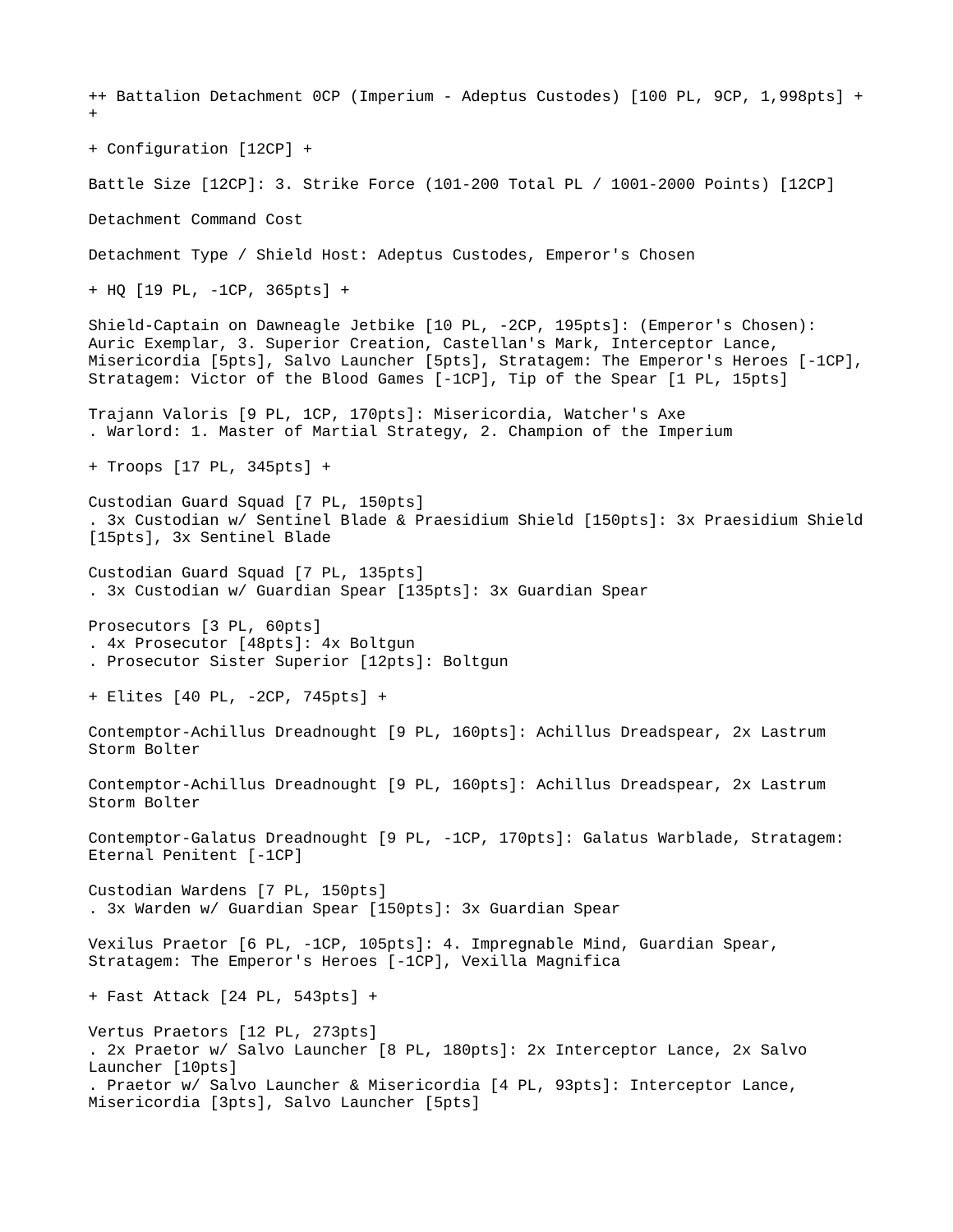++ Battalion Detachment 0CP (Imperium - Adeptus Custodes) [100 PL, 9CP, 1,998pts] + + + Configuration [12CP] + Battle Size [12CP]: 3. Strike Force (101-200 Total PL / 1001-2000 Points) [12CP] Detachment Command Cost Detachment Type / Shield Host: Adeptus Custodes, Emperor's Chosen + HQ [19 PL, -1CP, 365pts] + Shield-Captain on Dawneagle Jetbike [10 PL, -2CP, 195pts]: (Emperor's Chosen): Auric Exemplar, 3. Superior Creation, Castellan's Mark, Interceptor Lance, Misericordia [5pts], Salvo Launcher [5pts], Stratagem: The Emperor's Heroes [-1CP], Stratagem: Victor of the Blood Games [-1CP], Tip of the Spear [1 PL, 15pts] Trajann Valoris [9 PL, 1CP, 170pts]: Misericordia, Watcher's Axe . Warlord: 1. Master of Martial Strategy, 2. Champion of the Imperium + Troops [17 PL, 345pts] + Custodian Guard Squad [7 PL, 150pts] . 3x Custodian w/ Sentinel Blade & Praesidium Shield [150pts]: 3x Praesidium Shield [15pts], 3x Sentinel Blade Custodian Guard Squad [7 PL, 135pts] . 3x Custodian w/ Guardian Spear [135pts]: 3x Guardian Spear Prosecutors [3 PL, 60pts] . 4x Prosecutor [48pts]: 4x Boltgun . Prosecutor Sister Superior [12pts]: Boltgun + Elites [40 PL, -2CP, 745pts] + Contemptor-Achillus Dreadnought [9 PL, 160pts]: Achillus Dreadspear, 2x Lastrum Storm Bolter Contemptor-Achillus Dreadnought [9 PL, 160pts]: Achillus Dreadspear, 2x Lastrum Storm Bolter Contemptor-Galatus Dreadnought [9 PL, -1CP, 170pts]: Galatus Warblade, Stratagem: Eternal Penitent [-1CP] Custodian Wardens [7 PL, 150pts] . 3x Warden w/ Guardian Spear [150pts]: 3x Guardian Spear Vexilus Praetor [6 PL, -1CP, 105pts]: 4. Impregnable Mind, Guardian Spear, Stratagem: The Emperor's Heroes [-1CP], Vexilla Magnifica + Fast Attack [24 PL, 543pts] + Vertus Praetors [12 PL, 273pts] . 2x Praetor w/ Salvo Launcher [8 PL, 180pts]: 2x Interceptor Lance, 2x Salvo Launcher [10pts] . Praetor w/ Salvo Launcher & Misericordia [4 PL, 93pts]: Interceptor Lance, Misericordia [3pts], Salvo Launcher [5pts]